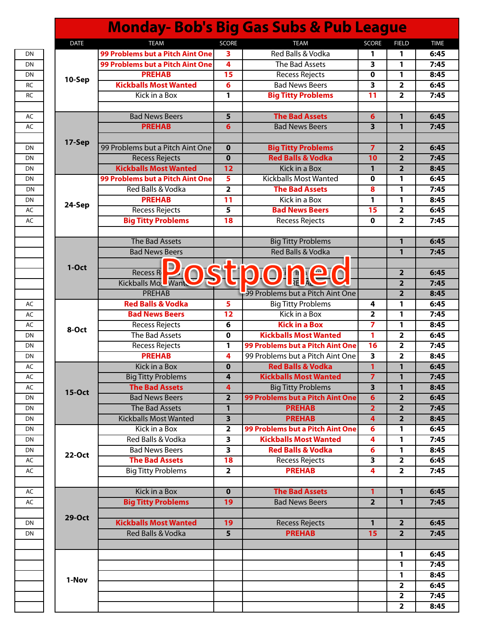|               |                                               |                                         | <b>Monday- Bob's Big Gas Subs &amp; Pub League</b>                   |                               |                                           |
|---------------|-----------------------------------------------|-----------------------------------------|----------------------------------------------------------------------|-------------------------------|-------------------------------------------|
| <b>DATE</b>   | <b>TEAM</b>                                   | <b>SCORE</b>                            | <b>TEAM</b>                                                          | <b>SCORE</b>                  | <b>FIELD</b>                              |
|               | 99 Problems but a Pitch Aint One              | 3                                       | Red Balls & Vodka                                                    | 1                             | 1                                         |
|               | 99 Problems but a Pitch Aint One              | $\overline{\mathbf{4}}$                 | The Bad Assets                                                       | 3                             | 1                                         |
|               | <b>PREHAB</b>                                 | 15                                      | Recess Rejects                                                       | 0                             | 1                                         |
| 10-Sep        | <b>Kickballs Most Wanted</b>                  | 6                                       | <b>Bad News Beers</b>                                                | 3                             | $\overline{\mathbf{2}}$                   |
|               | Kick in a Box                                 | 1                                       | <b>Big Titty Problems</b>                                            | 11                            | $\overline{\mathbf{2}}$                   |
|               |                                               |                                         |                                                                      |                               |                                           |
|               | <b>Bad News Beers</b>                         | 5                                       | <b>The Bad Assets</b>                                                | 6                             | $\mathbf{1}$                              |
|               | <b>PREHAB</b>                                 | $6\phantom{1}6$                         | <b>Bad News Beers</b>                                                | 3                             | 1                                         |
|               |                                               |                                         |                                                                      |                               |                                           |
| 17-Sep        | 99 Problems but a Pitch Aint One              | $\mathbf 0$                             | <b>Big Titty Problems</b>                                            | $\overline{7}$                | $\overline{\mathbf{2}}$                   |
|               | <b>Recess Rejects</b>                         | $\mathbf 0$                             | <b>Red Balls &amp; Vodka</b>                                         | 10                            | $\overline{2}$                            |
|               | <b>Kickballs Most Wanted</b>                  | 12                                      | <b>Kick in a Box</b>                                                 | $\mathbf{1}$                  | $\overline{2}$                            |
|               | 99 Problems but a Pitch Aint One              | 5                                       | <b>Kickballs Most Wanted</b>                                         | $\mathbf 0$                   | 1                                         |
|               | Red Balls & Vodka                             | $\overline{\mathbf{2}}$                 | <b>The Bad Assets</b>                                                | 8                             | 1                                         |
|               | <b>PREHAB</b>                                 | 11                                      | Kick in a Box                                                        | 1                             | 1                                         |
| 24-Sep        | <b>Recess Rejects</b>                         | 5                                       | <b>Bad News Beers</b>                                                | 15                            | $\overline{\mathbf{2}}$                   |
|               | <b>Big Titty Problems</b>                     | 18                                      | Recess Rejects                                                       | 0                             | $\overline{\mathbf{2}}$                   |
|               |                                               |                                         |                                                                      |                               |                                           |
|               | The Bad Assets                                |                                         | <b>Big Titty Problems</b>                                            |                               | $\mathbf{1}$                              |
|               | <b>Bad News Beers</b>                         |                                         | <b>Red Balls &amp; Vodka</b>                                         |                               | 1                                         |
|               |                                               |                                         |                                                                      |                               |                                           |
| $1-Oct$       | <b>Recess R</b>                               |                                         |                                                                      |                               | $\overline{\mathbf{2}}$                   |
|               | Kickballs Mo.<br>Wan                          |                                         |                                                                      |                               | $\overline{2}$                            |
|               | <b>PREHAB</b>                                 |                                         | 99 Problems but a Pitch Aint One                                     |                               | $\overline{2}$                            |
|               | <b>Red Balls &amp; Vodka</b>                  | 5                                       | <b>Big Titty Problems</b>                                            | 4                             | 1                                         |
|               |                                               |                                         | Kick in a Box                                                        |                               |                                           |
|               | <b>Bad News Beers</b>                         | 12<br>6                                 | <b>Kick in a Box</b>                                                 | 2<br>7                        | 1<br>1                                    |
| 8-Oct         | <b>Recess Rejects</b><br>The Bad Assets       | $\mathbf 0$                             | <b>Kickballs Most Wanted</b>                                         | 1                             | $\overline{2}$                            |
|               |                                               |                                         |                                                                      |                               |                                           |
|               | Recess Rejects<br><b>PREHAB</b>               | $\mathbf{1}$<br>4                       | 99 Problems but a Pitch Aint One<br>99 Problems but a Pitch Aint One | 16<br>$\overline{\mathbf{3}}$ | $\overline{\mathbf{2}}$<br>$\overline{2}$ |
|               | Kick in a Box                                 |                                         | <b>Red Balls &amp; Vodka</b>                                         |                               |                                           |
|               |                                               | $\mathbf 0$                             |                                                                      | 1                             | 1                                         |
|               | <b>Big Titty Problems</b>                     | 4                                       | <b>Kickballs Most Wanted</b>                                         | 7                             | 1                                         |
| <b>15-Oct</b> | <b>The Bad Assets</b>                         | $\overline{4}$                          | <b>Big Titty Problems</b>                                            | $\overline{\mathbf{3}}$       | $\mathbf{1}$                              |
|               | <b>Bad News Beers</b>                         | $\overline{2}$                          | 99 Problems but a Pitch Aint One                                     | 6                             | $\overline{2}$                            |
|               | The Bad Assets                                | $\mathbf{1}$<br>$\overline{\mathbf{3}}$ | <b>PREHAB</b><br><b>PREHAB</b>                                       | $\overline{2}$                | $\overline{2}$<br>$\overline{2}$          |
|               | <b>Kickballs Most Wanted</b><br>Kick in a Box |                                         | 99 Problems but a Pitch Aint One                                     | 4                             |                                           |
|               | Red Balls & Vodka                             | $\mathbf{2}$                            |                                                                      | 6                             | 1                                         |
|               |                                               | 3                                       | <b>Kickballs Most Wanted</b>                                         | 4                             | 1                                         |
| 22-Oct        | <b>Bad News Beers</b>                         | $\overline{\mathbf{3}}$                 | <b>Red Balls &amp; Vodka</b>                                         | 6                             | 1                                         |
|               | <b>The Bad Assets</b>                         | 18                                      | <b>Recess Rejects</b>                                                | $\overline{\mathbf{3}}$       | $\overline{2}$                            |
|               | <b>Big Titty Problems</b>                     | $\overline{\mathbf{2}}$                 | <b>PREHAB</b>                                                        | 4                             | $\overline{2}$                            |
|               | Kick in a Box                                 | $\mathbf{0}$                            | <b>The Bad Assets</b>                                                | 1                             | $\mathbf{1}$                              |
|               |                                               |                                         |                                                                      |                               |                                           |
|               | <b>Big Titty Problems</b>                     | 19                                      | <b>Bad News Beers</b>                                                | $\overline{2}$                | 1                                         |
| 29-Oct        |                                               |                                         |                                                                      |                               |                                           |
|               | <b>Kickballs Most Wanted</b>                  | 19<br>$\overline{\mathbf{5}}$           | <b>Recess Rejects</b>                                                | $\mathbf{1}$                  | $\overline{2}$                            |
|               | Red Balls & Vodka                             |                                         | <b>PREHAB</b>                                                        | 15                            | $\overline{2}$                            |
|               |                                               |                                         |                                                                      |                               |                                           |
|               |                                               |                                         |                                                                      |                               | $\mathbf{1}$                              |
|               |                                               |                                         |                                                                      |                               | 1                                         |
| 1-Nov         |                                               |                                         |                                                                      |                               | 1                                         |
|               |                                               |                                         |                                                                      |                               | $\overline{2}$                            |
|               |                                               |                                         |                                                                      |                               | $\overline{\mathbf{2}}$                   |
|               |                                               |                                         |                                                                      |                               | $\overline{\mathbf{2}}$                   |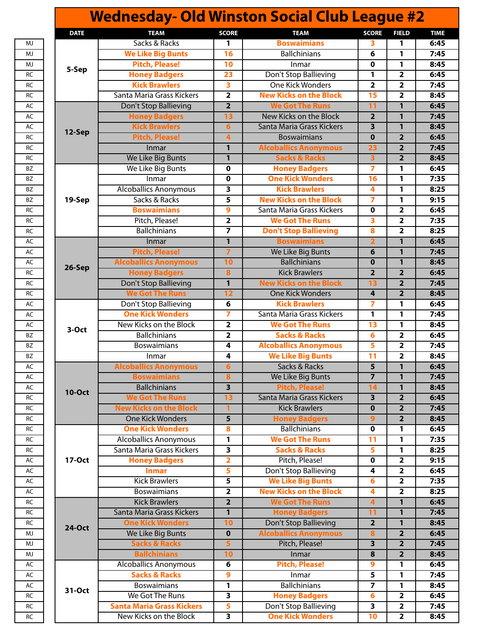| <b>Wednesday- Old Winston Social Club League #2</b> |                                                  |                         |                               |                         |                         |             |  |
|-----------------------------------------------------|--------------------------------------------------|-------------------------|-------------------------------|-------------------------|-------------------------|-------------|--|
| <b>DATE</b>                                         | <b>TEAM</b>                                      | <b>SCORE</b>            | <b>TEAM</b>                   | <b>SCORE</b>            | <b>FIELD</b>            | <b>TIME</b> |  |
|                                                     | Sacks & Racks                                    | 1                       | <b>Boswaimians</b>            | 3.                      | 1                       | 6:45        |  |
|                                                     | <b>We Like Big Bunts</b>                         | 16                      | <b>Ballchinians</b>           | 6                       | 1                       | 7:45        |  |
|                                                     | <b>Pitch, Please!</b>                            | 10                      | Inmar                         | 0                       | 1                       | 8:45        |  |
| 5-Sep                                               | <b>Honey Badgers</b>                             | 23                      | Don't Stop Ballieving         | 1                       | $\overline{\mathbf{2}}$ | 6:45        |  |
|                                                     | <b>Kick Brawlers</b>                             | $\overline{\mathbf{3}}$ | <b>One Kick Wonders</b>       | $\overline{2}$          | $\overline{\mathbf{2}}$ | 7:45        |  |
|                                                     | Santa Maria Grass Kickers                        | $\overline{\mathbf{2}}$ | <b>New Kicks on the Block</b> | 15                      | $\overline{2}$          | 8:45        |  |
|                                                     | Don't Stop Ballieving                            | $\overline{2}$          | <b>We Got The Runs</b>        | $\overline{11}$         | $\mathbf{1}$            | 6:45        |  |
|                                                     | <b>Honey Badgers</b>                             | 13                      | New Kicks on the Block        | $\overline{\mathbf{2}}$ | $\mathbf{1}$            | 7:45        |  |
|                                                     | <b>Kick Brawlers</b>                             | $6\phantom{1}6$         | Santa Maria Grass Kickers     | 3                       | 1                       | 8:45        |  |
| 12-Sep                                              | <b>Pitch, Please!</b>                            | $\overline{4}$          | <b>Boswaimians</b>            | $\mathbf 0$             | $\overline{2}$          | 6:45        |  |
|                                                     | Inmar                                            | $\mathbf{1}$            | <b>Alcoballics Anonymous</b>  | 23                      | $\overline{2}$          | 7:45        |  |
|                                                     | We Like Big Bunts                                | $\mathbf{1}$            | <b>Sacks &amp; Racks</b>      | 3                       | $\overline{2}$          | 8:45        |  |
|                                                     | We Like Big Bunts                                | $\mathbf 0$             | <b>Honey Badgers</b>          | $\overline{7}$          | 1                       | 6:45        |  |
|                                                     | Inmar                                            | $\mathbf 0$             | <b>One Kick Wonders</b>       | 16                      | 1                       | 7:35        |  |
|                                                     | <b>Alcoballics Anonymous</b>                     | 3                       | <b>Kick Brawlers</b>          | 4                       | 1                       | 8:25        |  |
| 19-Sep                                              | Sacks & Racks                                    | 5                       | <b>New Kicks on the Block</b> | 7                       | 1                       | 9:15        |  |
|                                                     | <b>Boswaimians</b>                               | $\mathbf{9}$            | Santa Maria Grass Kickers     | $\mathbf 0$             | $\overline{2}$          | 6:45        |  |
|                                                     | Pitch, Please!                                   | $\overline{\mathbf{2}}$ | <b>We Got The Runs</b>        | 3                       | $\overline{\mathbf{2}}$ | 7:35        |  |
|                                                     | <b>Ballchinians</b>                              | $\overline{\mathbf{z}}$ | <b>Don't Stop Ballieving</b>  | 8                       | $\overline{2}$          | 8:25        |  |
|                                                     | Inmar                                            | $\mathbf{1}$            | <b>Boswaimians</b>            | $\overline{2}$          | $\mathbf{1}$            | 6:45        |  |
|                                                     | <b>Pitch, Please!</b>                            | $\overline{7}$          | We Like Big Bunts             | 6                       | 1                       | 7:45        |  |
|                                                     | <b>Alcoballics Anonymous</b>                     | 10                      | <b>Ballchinians</b>           | $\mathbf 0$             | 1                       | 8:45        |  |
| 26-Sep                                              | <b>Honey Badgers</b>                             | $\overline{\mathbf{8}}$ | <b>Kick Brawlers</b>          | $\overline{2}$          | $\overline{2}$          | 6:45        |  |
|                                                     | Don't Stop Ballieving                            | $\mathbf{1}$            | <b>New Kicks on the Block</b> | 13                      | $\overline{2}$          | 7:45        |  |
|                                                     | <b>We Got The Runs</b>                           | 12                      | <b>One Kick Wonders</b>       | 4                       | $\overline{2}$          | 8:45        |  |
|                                                     |                                                  |                         | <b>Kick Brawlers</b>          |                         |                         |             |  |
|                                                     | Don't Stop Ballieving<br><b>One Kick Wonders</b> | 6                       |                               | 7                       | 1                       | 6:45        |  |
|                                                     |                                                  | $\overline{7}$          | Santa Maria Grass Kickers     | 1                       | 1                       | 7:45        |  |
| 3-Oct                                               | New Kicks on the Block                           | $\overline{\mathbf{2}}$ | <b>We Got The Runs</b>        | 13                      | 1                       | 8:45        |  |
|                                                     | <b>Ballchinians</b>                              | $\overline{2}$          | <b>Sacks &amp; Racks</b>      | 6                       | $\overline{\mathbf{2}}$ | 6:45        |  |
|                                                     | Boswaimians                                      | 4                       | <b>Alcoballics Anonymous</b>  | 5                       | $\overline{\mathbf{2}}$ | 7:45        |  |
|                                                     | Inmar                                            | 4                       | <b>We Like Big Bunts</b>      | $\overline{11}$         | $\overline{2}$          | 8:45        |  |
|                                                     | <b>Alcoballics Anonymous</b>                     | 6                       | Sacks & Racks                 | $\overline{5}$          | 1                       | 6:45        |  |
|                                                     | <b>Boswaimians</b>                               | 8                       | We Like Big Bunts             | $\overline{7}$          | 1                       | 7:45        |  |
| <b>10-Oct</b>                                       | <b>Ballchinians</b>                              | $\overline{\mathbf{3}}$ | <b>Pitch, Please!</b>         | 14                      | 1                       | 8:45        |  |
|                                                     | <b>We Got The Runs</b>                           | 13                      | Santa Maria Grass Kickers     | $\overline{\mathbf{3}}$ | $\overline{2}$          | 6:45        |  |
|                                                     | <b>New Kicks on the Block</b>                    |                         | <b>Kick Brawlers</b>          | $\bf{0}$                | $\overline{2}$          | 7:45        |  |
|                                                     | <b>One Kick Wonders</b>                          | 5                       | <b>Honey Badgers</b>          | 9                       | $\overline{\mathbf{2}}$ | 8:45        |  |
|                                                     | <b>One Kick Wonders</b>                          | 8                       | <b>Ballchinians</b>           | 0                       | 1                       | 6:45        |  |
|                                                     | <b>Alcoballics Anonymous</b>                     | 1                       | <b>We Got The Runs</b>        | 11                      | 1                       | 7:35        |  |
|                                                     | Santa Maria Grass Kickers                        | 3                       | <b>Sacks &amp; Racks</b>      | 5                       | 1                       | 8:25        |  |
| 17-Oct                                              | <b>Honey Badgers</b>                             | $\overline{\mathbf{2}}$ | Pitch, Please!                | 0                       | $\overline{\mathbf{2}}$ | 9:15        |  |
|                                                     | <b>Inmar</b>                                     | 5                       | Don't Stop Ballieving         | 4                       | $\overline{\mathbf{2}}$ | 6:45        |  |
|                                                     | <b>Kick Brawlers</b>                             | 5                       | <b>We Like Big Bunts</b>      | 6                       | $\overline{\mathbf{2}}$ | 7:35        |  |
|                                                     | <b>Boswaimians</b>                               | $\overline{2}$          | <b>New Kicks on the Block</b> | 4                       | $\overline{2}$          | 8:25        |  |
|                                                     | <b>Kick Brawlers</b>                             | $\overline{2}$          | <b>We Got The Runs</b>        | $\overline{\mathbf{4}}$ | 1                       | 6:45        |  |
|                                                     | Santa Maria Grass Kickers                        | $\overline{1}$          | <b>Honey Badgers</b>          | 11                      | 1                       | 7:45        |  |
| <b>24-Oct</b>                                       | <b>One Kick Wonders</b>                          | 10                      | Don't Stop Ballieving         | $\overline{2}$          | $\mathbf{1}$            | 8:45        |  |
|                                                     | We Like Big Bunts                                | $\mathbf 0$             | <b>Alcoballics Anonymous</b>  | 8                       | $\overline{2}$          | 6:45        |  |
|                                                     | <b>Sacks &amp; Racks</b>                         | $\overline{\mathbf{5}}$ | Pitch, Please!                | 3                       | $\overline{\mathbf{2}}$ | 7:45        |  |
|                                                     | <b>Ballchinians</b>                              | 10                      | Inmar                         | 8                       | $\overline{2}$          | 8:45        |  |
|                                                     | <b>Alcoballics Anonymous</b>                     | 6                       | <b>Pitch, Please!</b>         | 9                       | 1                       | 6:45        |  |
| 31-Oct                                              | <b>Sacks &amp; Racks</b>                         | $\boldsymbol{9}$        | Inmar                         | 5                       | 1                       | 7:45        |  |
|                                                     | <b>Boswaimians</b>                               | 1                       | <b>Ballchinians</b>           | $\overline{7}$          | $\mathbf{1}$            | 8:45        |  |
|                                                     | We Got The Runs                                  | 3                       | <b>Honey Badgers</b>          | 6                       | $\overline{\mathbf{2}}$ | 6:45        |  |
|                                                     | <b>Santa Maria Grass Kickers</b>                 | $\overline{\mathbf{5}}$ | Don't Stop Ballieving         | 3                       | $\overline{2}$          | 7:45        |  |
|                                                     | New Kicks on the Block                           | $\overline{\mathbf{3}}$ | <b>One Kick Wonders</b>       | 10                      | $\overline{\mathbf{2}}$ | 8:45        |  |
|                                                     |                                                  |                         |                               |                         |                         |             |  |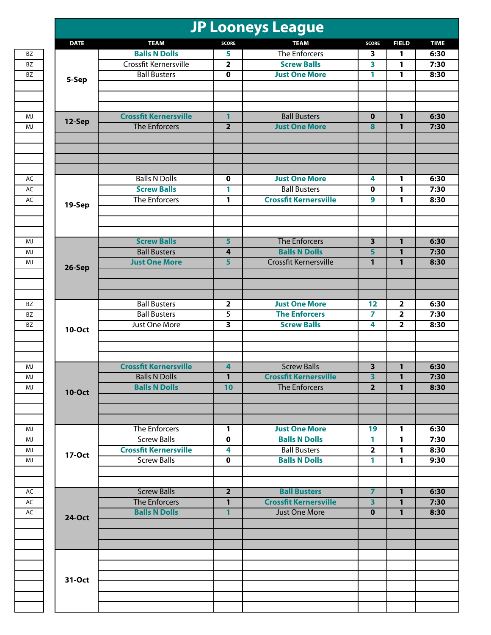|               |                              |                         | <b>JP Looneys League</b>     |                         |                         |              |
|---------------|------------------------------|-------------------------|------------------------------|-------------------------|-------------------------|--------------|
| <b>DATE</b>   | <b>TEAM</b>                  | <b>SCORE</b>            | <b>TEAM</b>                  | <b>SCORE</b>            | <b>FIELD</b>            | <b>TIME</b>  |
|               | <b>Balls N Dolls</b>         | 5                       | <b>The Enforcers</b>         | 3                       | 1                       | 6:30         |
|               | Crossfit Kernersville        | $\overline{\mathbf{2}}$ | <b>Screw Balls</b>           | 3                       | 1                       | 7:30         |
|               | <b>Ball Busters</b>          | $\mathbf 0$             | <b>Just One More</b>         | 1                       | 1                       | 8:30         |
| 5-Sep         |                              |                         |                              |                         |                         |              |
| 12-Sep        | <b>Crossfit Kernersville</b> | 1                       | <b>Ball Busters</b>          | $\mathbf 0$             | $\mathbf{1}$            | 6:30         |
|               | The Enforcers                | $\overline{2}$          | <b>Just One More</b>         | 8                       | $\mathbf{1}$            | 7:30         |
|               |                              |                         |                              |                         |                         |              |
|               | <b>Balls N Dolls</b>         | 0                       | <b>Just One More</b>         | 4                       | $\mathbf{1}$            | 6:30         |
|               | <b>Screw Balls</b>           | 1                       | <b>Ball Busters</b>          | $\mathbf 0$             | 1                       | 7:30<br>8:30 |
| 19-Sep        | The Enforcers                | 1                       | <b>Crossfit Kernersville</b> | 9                       | $\mathbf{1}$            |              |
|               | <b>Screw Balls</b>           | 5                       | The Enforcers                | 3                       | $\mathbf{1}$            | 6:30         |
|               | <b>Ball Busters</b>          | 4                       | <b>Balls N Dolls</b>         | 5                       | $\mathbf{1}$            | 7:30         |
| 26-Sep        | <b>Just One More</b>         | $\overline{\mathbf{5}}$ | <b>Crossfit Kernersville</b> | $\mathbf{1}$            | $\mathbf{1}$            | 8:30         |
|               |                              |                         |                              |                         |                         |              |
|               | <b>Ball Busters</b>          | $\mathbf{2}$            | <b>Just One More</b>         | 12                      | $\overline{\mathbf{2}}$ | 6:30         |
|               | <b>Ball Busters</b>          | 5                       | <b>The Enforcers</b>         | 7                       | $\overline{\mathbf{2}}$ | 7:30         |
| <b>10-Oct</b> | Just One More                | $\overline{\mathbf{3}}$ | <b>Screw Balls</b>           | 4                       | $\overline{2}$          | 8:30         |
|               | <b>Crossfit Kernersville</b> | $\overline{\mathbf{4}}$ | <b>Screw Balls</b>           | $\overline{\mathbf{3}}$ | $\mathbf{1}$            | 6:30         |
|               | <b>Balls N Dolls</b>         | $\mathbf{1}$            | <b>Crossfit Kernersville</b> | 3                       | 1                       | 7:30         |
|               | <b>Balls N Dolls</b>         | 10                      | <b>The Enforcers</b>         | $\overline{2}$          | $\overline{1}$          | 8:30         |
| <b>10-Oct</b> |                              |                         |                              |                         |                         |              |
|               | The Enforcers                | $\mathbf{1}$            | <b>Just One More</b>         | 19                      | 1                       | 6:30         |
|               | <b>Screw Balls</b>           | $\mathbf 0$             | <b>Balls N Dolls</b>         | 1                       | 1                       | 7:30         |
| 17-Oct        | <b>Crossfit Kernersville</b> | 4                       | <b>Ball Busters</b>          | $\overline{2}$          | $\mathbf{1}$            | 8:30         |
|               | <b>Screw Balls</b>           | $\mathbf 0$             | <b>Balls N Dolls</b>         | 1                       | $\mathbf{1}$            | 9:30         |
|               | <b>Screw Balls</b>           | $\overline{2}$          | <b>Ball Busters</b>          | $\overline{7}$          | $\mathbf{1}$            | 6:30         |
|               | The Enforcers                | 1                       | <b>Crossfit Kernersville</b> | 3                       | $\mathbf{1}$            | 7:30         |
| <b>24-Oct</b> | <b>Balls N Dolls</b>         | $\mathbf{1}$            | Just One More                | $\mathbf 0$             | $\mathbf{1}$            | 8:30         |
|               |                              |                         |                              |                         |                         |              |
|               |                              |                         |                              |                         |                         |              |
| 31-Oct        |                              |                         |                              |                         |                         |              |
|               |                              |                         |                              |                         |                         |              |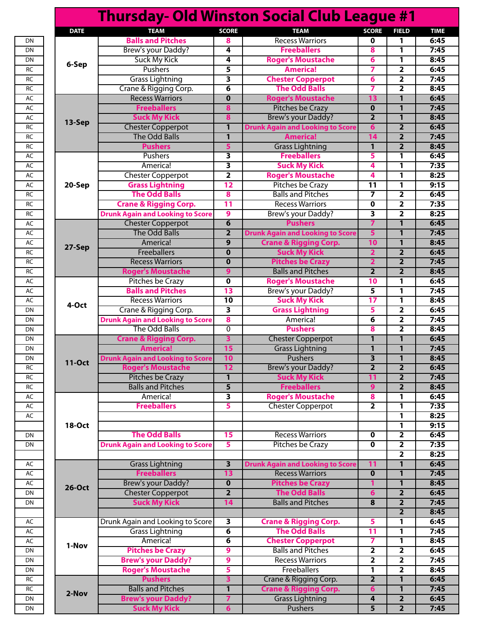|               |                                         |                         | <b>Thursday- Old Winston Social Club League #1</b> |                         |                         |
|---------------|-----------------------------------------|-------------------------|----------------------------------------------------|-------------------------|-------------------------|
| <b>DATE</b>   | <b>TEAM</b>                             | <b>SCORE</b>            | <b>TEAM</b>                                        | <b>SCORE</b>            | <b>FIELD</b>            |
|               | <b>Balls and Pitches</b>                | 8                       | <b>Recess Warriors</b>                             | 0                       | 1                       |
|               | Brew's your Daddy?                      | 4                       | <b>Freeballers</b>                                 | 8                       | 1                       |
|               | <b>Suck My Kick</b>                     | 4                       | <b>Roger's Moustache</b>                           | 6                       | 1                       |
| 6-Sep         | Pushers                                 | 5                       | <b>America!</b>                                    | 7                       | $\overline{\mathbf{2}}$ |
|               | <b>Grass Lightning</b>                  | 3                       | <b>Chester Copperpot</b>                           | 6                       | $\overline{2}$          |
|               | Crane & Rigging Corp.                   | 6                       | <b>The Odd Balls</b>                               | 7                       | $\mathbf{2}$            |
|               |                                         |                         |                                                    |                         |                         |
|               | <b>Recess Warriors</b>                  | $\mathbf 0$             | <b>Roger's Moustache</b>                           | 13                      | $\mathbf{1}$            |
|               | <b>Freeballers</b>                      | 8                       | <b>Pitches be Crazy</b>                            | $\mathbf 0$             | $\mathbf{1}$            |
| 13-Sep        | <b>Suck My Kick</b>                     | 8                       | <b>Brew's your Daddy?</b>                          | $\overline{2}$          | $\mathbf{1}$            |
|               | <b>Chester Copperpot</b>                | $\mathbf{1}$            | <b>Drunk Again and Looking to Score</b>            | 6                       | $\overline{2}$          |
|               | <b>The Odd Balls</b>                    | 1                       | <b>America!</b>                                    | 14                      | $\overline{2}$          |
|               | <b>Pushers</b>                          | 5                       | <b>Grass Lightning</b>                             | $\mathbf{1}$            | $\overline{2}$          |
|               | Pushers                                 | 3                       | <b>Freeballers</b>                                 | 5                       | 1                       |
|               | America!                                | 3                       | <b>Suck My Kick</b>                                | 4                       | 1                       |
|               | <b>Chester Copperpot</b>                | $\overline{2}$          | <b>Roger's Moustache</b>                           | 4                       | 1                       |
| 20-Sep        | <b>Grass Lightning</b>                  | 12                      | <b>Pitches be Crazy</b>                            | 11                      | 1                       |
|               | <b>The Odd Balls</b>                    | 8                       | <b>Balls and Pitches</b>                           | 7                       | $\overline{2}$          |
|               | <b>Crane &amp; Rigging Corp.</b>        | 11                      | <b>Recess Warriors</b>                             | 0                       | $\overline{\mathbf{2}}$ |
|               | <b>Drunk Again and Looking to Score</b> | $\boldsymbol{9}$        | Brew's your Daddy?                                 | 3                       | $\overline{2}$          |
|               | <b>Chester Copperpot</b>                | 6                       | <b>Pushers</b>                                     | $\overline{7}$          | $\mathbf{1}$            |
|               | <b>The Odd Balls</b>                    | $\overline{2}$          |                                                    |                         |                         |
|               |                                         |                         | <b>Drunk Again and Looking to Score</b>            | 5                       | 1                       |
| 27-Sep        | America!                                | 9                       | <b>Crane &amp; Rigging Corp.</b>                   | 10                      | $\mathbf{1}$            |
|               | Freeballers                             | $\mathbf 0$             | <b>Suck My Kick</b>                                | $\overline{2}$          | $\overline{2}$          |
|               | <b>Recess Warriors</b>                  | $\mathbf 0$             | <b>Pitches be Crazy</b>                            | $\overline{2}$          | $\overline{2}$          |
|               | <b>Roger's Moustache</b>                | $\mathbf{9}$            | <b>Balls and Pitches</b>                           | $\overline{2}$          | $\overline{2}$          |
|               | <b>Pitches be Crazy</b>                 | $\mathbf 0$             | <b>Roger's Moustache</b>                           | 10                      | 1                       |
|               | <b>Balls and Pitches</b>                | 13                      | Brew's your Daddy?                                 | 5                       | 1                       |
|               | <b>Recess Warriors</b>                  | $\overline{10}$         | <b>Suck My Kick</b>                                | 17                      | 1                       |
| 4-Oct         | Crane & Rigging Corp.                   | 3                       | <b>Grass Lightning</b>                             | 5                       | $\overline{\mathbf{2}}$ |
|               | <b>Drunk Again and Looking to Score</b> | 8                       | America!                                           | 6                       | $\overline{\mathbf{2}}$ |
|               | The Odd Balls                           | $\mathbf 0$             | <b>Pushers</b>                                     | 8                       | $\overline{2}$          |
|               | <b>Crane &amp; Rigging Corp.</b>        | $\overline{\mathbf{3}}$ | <b>Chester Copperpot</b>                           | 1                       | $\mathbf{1}$            |
|               | <b>America!</b>                         | 15                      | <b>Grass Lightning</b>                             | 1                       | $\mathbf{1}$            |
|               |                                         |                         | Pushers                                            |                         |                         |
| <b>11-Oct</b> | <b>Drunk Again and Looking to Score</b> | 10                      |                                                    | $\overline{\mathbf{3}}$ | $\mathbf{1}$            |
|               | <b>Roger's Moustache</b>                | 12                      | Brew's your Daddy?                                 | $\overline{\mathbf{2}}$ | $\overline{2}$          |
|               | Pitches be Crazy                        | $\mathbf{1}$            | <b>Suck My Kick</b>                                | $\overline{11}$         | $\overline{2}$          |
|               | <b>Balls and Pitches</b>                | 5                       | <b>Freeballers</b>                                 | 9                       | $\overline{2}$          |
|               | America!                                | 3                       | <b>Roger's Moustache</b>                           | 8                       | 1                       |
|               | <b>Freeballers</b>                      | 5                       | <b>Chester Copperpot</b>                           | $\overline{\mathbf{2}}$ | 1                       |
|               |                                         |                         |                                                    |                         | 1                       |
| <b>18-Oct</b> |                                         |                         |                                                    |                         | 1                       |
|               | <b>The Odd Balls</b>                    | 15                      | <b>Recess Warriors</b>                             | 0                       | $\overline{2}$          |
|               | <b>Drunk Again and Looking to Score</b> | 5                       | Pitches be Crazy                                   | 0                       | $\overline{\mathbf{2}}$ |
|               |                                         |                         |                                                    |                         | $\overline{\mathbf{2}}$ |
|               | <b>Grass Lightning</b>                  | $\overline{\mathbf{3}}$ | <b>Drunk Again and Looking to Score</b>            | 11                      | $\mathbf{1}$            |
|               | <b>Freeballers</b>                      | 13                      | <b>Recess Warriors</b>                             | $\mathbf 0$             | $\mathbf{1}$            |
|               | <b>Brew's your Daddy?</b>               | $\mathbf 0$             | <b>Pitches be Crazy</b>                            | 1                       | $\mathbf{1}$            |
| <b>26-Oct</b> | <b>Chester Copperpot</b>                | $\overline{2}$          | <b>The Odd Balls</b>                               | $6\phantom{1}6$         | $\overline{2}$          |
|               |                                         |                         |                                                    |                         |                         |
|               | <b>Suck My Kick</b>                     | 14                      | <b>Balls and Pitches</b>                           | 8                       | $\overline{2}$          |
|               |                                         |                         |                                                    |                         | $\overline{2}$          |
|               | Drunk Again and Looking to Score        | 3                       | <b>Crane &amp; Rigging Corp.</b>                   | 5                       | 1                       |
|               | <b>Grass Lightning</b>                  | $\overline{\mathbf{6}}$ | <b>The Odd Balls</b>                               | 11                      | 1                       |
| 1-Nov         | America!                                | 6                       | <b>Chester Copperpot</b>                           | $\overline{ }$          | 1                       |
|               | <b>Pitches be Crazy</b>                 | 9                       | <b>Balls and Pitches</b>                           | $\overline{2}$          | $\overline{2}$          |
|               | <b>Brew's your Daddy?</b>               | 9                       | <b>Recess Warriors</b>                             | $\overline{2}$          | $\overline{\mathbf{2}}$ |
|               | <b>Roger's Moustache</b>                | 5                       | Freeballers                                        | 1                       | $\overline{\mathbf{2}}$ |
|               | <b>Pushers</b>                          | 3                       | Crane & Rigging Corp.                              | $\overline{2}$          | $\mathbf{1}$            |
|               | <b>Balls and Pitches</b>                | 1                       | <b>Crane &amp; Rigging Corp.</b>                   | $6\phantom{1}6$         | 1                       |
| 2-Nov         | <b>Brew's your Daddy?</b>               | $\overline{z}$          | <b>Grass Lightning</b>                             | 4                       | $\overline{2}$          |
|               |                                         |                         |                                                    | $\overline{5}$          |                         |
|               | <b>Suck My Kick</b>                     | $6\phantom{1}6$         | <b>Pushers</b>                                     |                         | $\overline{2}$          |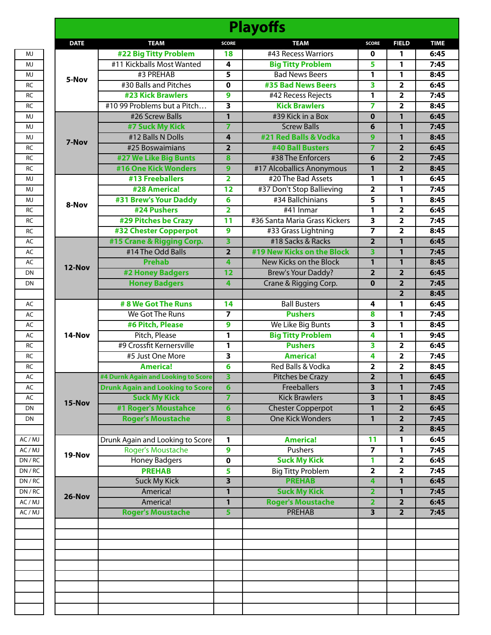|             |                                         |                         | <b>Playoffs</b>               |                         |                         |  |
|-------------|-----------------------------------------|-------------------------|-------------------------------|-------------------------|-------------------------|--|
| <b>DATE</b> | <b>TEAM</b>                             | <b>SCORE</b>            | <b>TEAM</b>                   | <b>SCORE</b>            | <b>FIELD</b>            |  |
|             | #22 Big Titty Problem                   | 18                      | #43 Recess Warriors           | 0                       | 1                       |  |
|             | #11 Kickballs Most Wanted               | 4                       | <b>Big Titty Problem</b>      | 5                       | 1                       |  |
|             | #3 PREHAB                               | 5                       | <b>Bad News Beers</b>         | 1                       | 1                       |  |
| 5-Nov       | #30 Balls and Pitches                   | $\mathbf 0$             | #35 Bad News Beers            | 3                       | 2                       |  |
|             | <b>#23 Kick Brawlers</b>                | $\overline{9}$          | #42 Recess Rejects            | 1                       | $\overline{\mathbf{2}}$ |  |
|             | #10 99 Problems but a Pitch             | $\overline{\mathbf{3}}$ | <b>Kick Brawlers</b>          | $\overline{ }$          | $\overline{2}$          |  |
|             | #26 Screw Balls                         | $\mathbf{1}$            | #39 Kick in a Box             | $\mathbf 0$             | $\mathbf{1}$            |  |
|             | #7 Suck My Kick                         | 7                       | <b>Screw Balls</b>            | 6                       | 1                       |  |
|             | #12 Balls N Dolls                       | 4                       | #21 Red Balls & Vodka         | 9                       | 1                       |  |
| 7-Nov       | #25 Boswaimians                         | $\overline{2}$          | #40 Ball Busters              | $\overline{7}$          | $\overline{2}$          |  |
|             | #27 We Like Big Bunts                   | 8                       | #38 The Enforcers             | 6                       | $\overline{\mathbf{2}}$ |  |
|             | <b>#16 One Kick Wonders</b>             | $\mathbf{9}$            | #17 Alcoballics Anonymous     | 1                       | $\overline{2}$          |  |
|             | #13 Freeballers                         | $\overline{2}$          | #20 The Bad Assets            | 1                       | 1                       |  |
|             | #28 America!                            | 12                      | #37 Don't Stop Ballieving     | $\overline{\mathbf{2}}$ | 1                       |  |
|             | #31 Brew's Your Daddy                   | 6                       | #34 Ballchinians              | 5                       | 1                       |  |
| 8-Nov       | #24 Pushers                             | $\overline{\mathbf{2}}$ | $#41$ Inmar                   | 1                       | 2                       |  |
|             | #29 Pitches be Crazy                    | $\overline{11}$         | #36 Santa Maria Grass Kickers | 3                       | 2                       |  |
|             | #32 Chester Copperpot                   | $\overline{9}$          | #33 Grass Lightning           | $\overline{7}$          | $\overline{2}$          |  |
|             | #15 Crane & Rigging Corp.               | $\overline{\mathbf{3}}$ | #18 Sacks & Racks             | $\overline{2}$          | $\mathbf{1}$            |  |
|             | #14 The Odd Balls                       | $\overline{2}$          | #19 New Kicks on the Block    | 3                       | 1                       |  |
|             | <b>Prehab</b>                           | 4                       | New Kicks on the Block        | 1                       | 1                       |  |
| 12-Nov      |                                         | 12                      |                               |                         |                         |  |
|             | #2 Honey Badgers                        |                         | <b>Brew's Your Daddy?</b>     | $\overline{2}$          | $\overline{2}$          |  |
|             | <b>Honey Badgers</b>                    | 4                       | Crane & Rigging Corp.         | $\mathbf{0}$            | $\overline{2}$          |  |
|             |                                         |                         |                               |                         | $\overline{2}$          |  |
|             | # 8 We Got The Runs                     | 14                      | <b>Ball Busters</b>           | 4                       | 1                       |  |
|             | We Got The Runs                         | $\overline{ }$          | <b>Pushers</b>                | 8                       | 1                       |  |
|             | #6 Pitch, Please                        | 9                       | We Like Big Bunts             | 3                       | 1                       |  |
| 14-Nov      | Pitch, Please                           | 1                       | <b>Big Titty Problem</b>      | 4                       | 1                       |  |
|             | #9 Crossfit Kernersville                | 1                       | <b>Pushers</b>                | 3                       | 2                       |  |
|             | #5 Just One More                        | 3                       | <b>America!</b>               | 4                       | $\overline{2}$          |  |
|             | <b>America!</b>                         | 6                       | Red Balls & Vodka             | $\overline{\mathbf{2}}$ | $\overline{2}$          |  |
|             | #4 Durnk Again and Looking to Score     | 3                       | Pitches be Crazy              | $\mathbf{z}$            |                         |  |
|             | <b>Drunk Again and Looking to Score</b> | $6\phantom{a}$          | <b>Freeballers</b>            | 3                       | 1                       |  |
| 15-Nov      | <b>Suck My Kick</b>                     | $\overline{7}$          | <b>Kick Brawlers</b>          | 3                       | $\mathbf{1}$            |  |
|             | #1 Roger's Moustahce                    | $6\phantom{1}$          | <b>Chester Copperpot</b>      | 1                       | $\overline{2}$          |  |
|             | <b>Roger's Moustache</b>                | 8                       | <b>One Kick Wonders</b>       | $\mathbf{1}$            | $\overline{2}$          |  |
|             |                                         |                         |                               |                         | $\overline{2}$          |  |
|             | Drunk Again and Looking to Score        | 1                       | <b>America!</b>               | 11                      | 1                       |  |
| 19-Nov      | Roger's Moustache                       | 9                       | Pushers                       | $\overline{7}$          | 1                       |  |
|             | <b>Honey Badgers</b>                    | $\mathbf 0$             | <b>Suck My Kick</b>           | 1                       | $\overline{2}$          |  |
|             | <b>PREHAB</b>                           | 5                       | <b>Big Titty Problem</b>      | $\overline{\mathbf{2}}$ | $\overline{\mathbf{2}}$ |  |
|             | <b>Suck My Kick</b>                     | 3                       | <b>PREHAB</b>                 | 4                       | $\mathbf{1}$            |  |
| 26-Nov      | America!                                | 1                       | <b>Suck My Kick</b>           | $\overline{\mathbf{2}}$ | 1                       |  |
|             | America!                                | 1                       | <b>Roger's Moustache</b>      | $\overline{\mathbf{2}}$ | 2                       |  |
|             | <b>Roger's Moustache</b>                | 5                       | <b>PREHAB</b>                 | $\overline{\mathbf{3}}$ | $\overline{2}$          |  |
|             |                                         |                         |                               |                         |                         |  |
|             |                                         |                         |                               |                         |                         |  |
|             |                                         |                         |                               |                         |                         |  |
|             |                                         |                         |                               |                         |                         |  |
|             |                                         |                         |                               |                         |                         |  |
|             |                                         |                         |                               |                         |                         |  |
|             |                                         |                         |                               |                         |                         |  |
|             |                                         |                         |                               |                         |                         |  |
|             |                                         |                         |                               |                         |                         |  |
|             |                                         |                         |                               |                         |                         |  |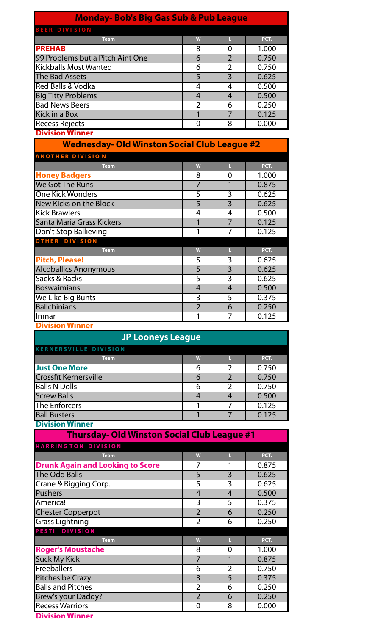| <b>Monday-Bob's Big Gas Sub &amp; Pub League</b>      |                |                                  |                |  |  |  |  |  |  |
|-------------------------------------------------------|----------------|----------------------------------|----------------|--|--|--|--|--|--|
| <b>BEER DIVISION</b>                                  |                |                                  |                |  |  |  |  |  |  |
| <b>Team</b>                                           | W              | L                                | PCT.           |  |  |  |  |  |  |
| <b>PREHAB</b>                                         | 8              | 0                                | 1.000          |  |  |  |  |  |  |
| 99 Problems but a Pitch Aint One                      | 6              | $\overline{2}$                   | 0.750          |  |  |  |  |  |  |
| <b>Kickballs Most Wanted</b>                          | 6              | $\overline{2}$                   | 0.750          |  |  |  |  |  |  |
| <b>The Bad Assets</b>                                 | 5              | 3                                | 0.625          |  |  |  |  |  |  |
| <b>Red Balls &amp; Vodka</b>                          | $\overline{4}$ | 4                                | 0.500          |  |  |  |  |  |  |
| <b>Big Titty Problems</b>                             | $\overline{4}$ | $\overline{4}$                   | 0.500          |  |  |  |  |  |  |
| <b>Bad News Beers</b>                                 | $\overline{2}$ | 6                                | 0.250          |  |  |  |  |  |  |
| Kick in a Box                                         | 1              | $\overline{7}$                   | 0.125          |  |  |  |  |  |  |
| <b>Recess Rejects</b>                                 | $\overline{0}$ | 8                                | 0.000          |  |  |  |  |  |  |
| <b>Division Winner</b>                                |                |                                  |                |  |  |  |  |  |  |
| <b>Wednesday- Old Winston Social Club League #2</b>   |                |                                  |                |  |  |  |  |  |  |
| <b>ANOTHER DIVISION</b>                               |                |                                  |                |  |  |  |  |  |  |
| <b>Team</b>                                           | W              | L                                | PCT.           |  |  |  |  |  |  |
| <b>Honey Badgers</b>                                  | 8              | 0                                | 1.000          |  |  |  |  |  |  |
| We Got The Runs                                       | $\overline{7}$ | 1                                | 0.875          |  |  |  |  |  |  |
| <b>One Kick Wonders</b>                               | $\overline{5}$ | $\overline{3}$                   | 0.625          |  |  |  |  |  |  |
| <b>New Kicks on the Block</b>                         | $\overline{5}$ | $\overline{3}$                   | 0.625          |  |  |  |  |  |  |
| <b>Kick Brawlers</b>                                  | 4              | 4                                | 0.500          |  |  |  |  |  |  |
| Santa Maria Grass Kickers                             | 1              | $\overline{7}$                   | 0.125          |  |  |  |  |  |  |
| <b>Don't Stop Ballieving</b><br><b>OTHER DIVISION</b> | 1              | 7                                | 0.125          |  |  |  |  |  |  |
| <b>Team</b>                                           | W              | L                                | PCT.           |  |  |  |  |  |  |
| <b>Pitch, Please!</b>                                 | 5              | 3                                | 0.625          |  |  |  |  |  |  |
| <b>Alcoballics Anonymous</b>                          | $\overline{5}$ | $\overline{3}$                   | 0.625          |  |  |  |  |  |  |
| Sacks & Racks                                         | 5              | $\overline{3}$                   | 0.625          |  |  |  |  |  |  |
| <b>Boswaimians</b>                                    | $\overline{4}$ | $\overline{4}$                   | 0.500          |  |  |  |  |  |  |
| We Like Big Bunts                                     | 3              | 5                                | 0.375          |  |  |  |  |  |  |
| <b>Ballchinians</b>                                   | $\overline{2}$ | $\overline{6}$                   | 0.250          |  |  |  |  |  |  |
| Inmar                                                 | 1              | 7                                | 0.125          |  |  |  |  |  |  |
| <b>Division Winner</b>                                |                |                                  |                |  |  |  |  |  |  |
| <b>JP Looneys League</b>                              |                |                                  |                |  |  |  |  |  |  |
|                                                       |                |                                  |                |  |  |  |  |  |  |
| <b>KERNERSVILLE DIVISION</b>                          |                |                                  |                |  |  |  |  |  |  |
| <b>Team</b>                                           | W              | L                                | PCT.           |  |  |  |  |  |  |
| <b>Just One More</b><br><b>Crossfit Kernersville</b>  | 6              | $\overline{2}$<br>$\overline{2}$ | 0.750          |  |  |  |  |  |  |
| <b>Balls N Dolls</b>                                  | 6<br>6         | $\overline{2}$                   | 0.750<br>0.750 |  |  |  |  |  |  |
| <b>Screw Balls</b>                                    | $\overline{4}$ | $\overline{4}$                   |                |  |  |  |  |  |  |
| <b>The Enforcers</b>                                  |                |                                  | 0.500<br>0.125 |  |  |  |  |  |  |
|                                                       | 1<br>1         | 7<br>$\overline{7}$              |                |  |  |  |  |  |  |
| <b>Ball Busters</b><br><b>Division Winner</b>         |                |                                  | 0.125          |  |  |  |  |  |  |
|                                                       |                |                                  |                |  |  |  |  |  |  |
| <b>Thursday- Old Winston Social Club League #1</b>    |                |                                  |                |  |  |  |  |  |  |
| <b>HARRINGTON DIVISION</b>                            |                |                                  |                |  |  |  |  |  |  |
| <b>Team</b>                                           | W              | L                                | PCT.           |  |  |  |  |  |  |
| <b>Drunk Again and Looking to Score</b>               | 7              |                                  | 0.875          |  |  |  |  |  |  |
| <b>The Odd Balls</b>                                  | $\overline{5}$ | $\overline{3}$                   | 0.625          |  |  |  |  |  |  |
| Crane & Rigging Corp.                                 | $\overline{5}$ | 3                                | 0.625          |  |  |  |  |  |  |
| <b>Pushers</b>                                        | $\overline{4}$ | $\overline{4}$                   | 0.500          |  |  |  |  |  |  |
| America!                                              | 3              | 5                                | 0.375          |  |  |  |  |  |  |
| <b>Chester Copperpot</b>                              | $\overline{2}$ | $\overline{6}$                   | 0.250          |  |  |  |  |  |  |
| Grass Lightning                                       | $\overline{2}$ | 6                                | 0.250          |  |  |  |  |  |  |
| <b>PESTI DIVISION</b>                                 |                |                                  |                |  |  |  |  |  |  |
| Team                                                  | W              | L                                | PCT.           |  |  |  |  |  |  |

**Roger's Moustache** 8 0 1.000<br>
Suck My Kick 7 1 0.875 Suck My Kick 7 1 0.875<br>Freeballers 6 2 0.750 Freeballers 6 2 0.750<br>Pitches be Crazy 3 5 0.375 Pitches be Crazy 3 5 Palls and Pitches 2 6 0.250<br>Brew's your Daddy? 2 6 0.250 Prew's your Daddy?<br>
Recess Warriors
2 6 0.250<br>
Recess Warriors
2 6 0.000 Recess Warriors 0 8 0.000

**Division Winner**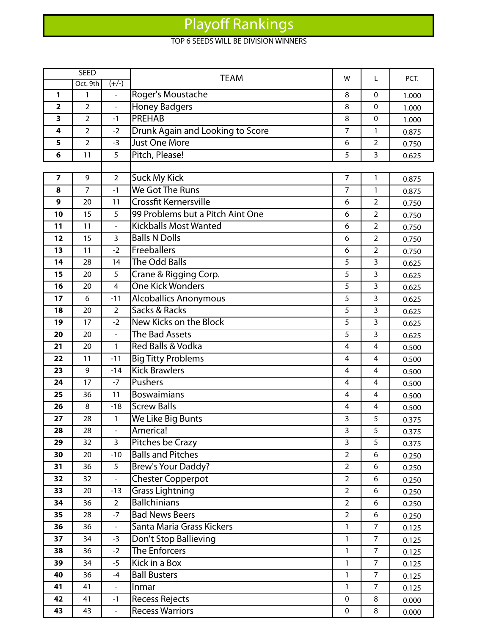## Playoff Rankings

## TOP 6 SEEDS WILL BE DIVISION WINNERS

|                         | <b>SEED</b>    |                          | <b>TEAM</b>                      | w              | L                       | PCT.  |
|-------------------------|----------------|--------------------------|----------------------------------|----------------|-------------------------|-------|
|                         | Oct. 9th       | $(+/-)$                  |                                  |                |                         |       |
| 1                       | 1              | $\overline{\phantom{0}}$ | Roger's Moustache                | 8              | $\Omega$                | 1.000 |
| 2                       | 2              | $\overline{\phantom{a}}$ | <b>Honey Badgers</b>             | 8<br>8         | 0                       | 1.000 |
| 3                       | $\overline{2}$ | $-1$                     | <b>PREHAB</b>                    |                | $\Omega$                | 1.000 |
| 4                       | 2              | $-2$                     | Drunk Again and Looking to Score |                | 1                       | 0.875 |
| 5                       | $\overline{2}$ | $-3$                     | <b>Just One More</b>             | 6              | $\overline{2}$          | 0.750 |
| 6                       | 11             | 5                        | Pitch, Please!                   | 5              | 3                       | 0.625 |
|                         |                |                          |                                  |                |                         |       |
| $\overline{\mathbf{z}}$ | 9              | $\overline{2}$           | <b>Suck My Kick</b>              | $\overline{7}$ | $\mathbf{1}$            | 0.875 |
| 8                       | 7              | $-1$                     | We Got The Runs                  | $\overline{7}$ | $\mathbf{1}$            | 0.875 |
| 9                       | 20             | 11                       | Crossfit Kernersville            | 6              | $\overline{2}$          | 0.750 |
| 10                      | 15             | 5                        | 99 Problems but a Pitch Aint One | 6              | $\overline{2}$          | 0.750 |
| 11                      | 11             | $\frac{1}{2}$            | <b>Kickballs Most Wanted</b>     | 6              | $\overline{2}$          | 0.750 |
| 12                      | 15             | 3                        | <b>Balls N Dolls</b>             | 6              | $\overline{2}$          | 0.750 |
| 13                      | 11             | $-2$                     | Freeballers                      | 6              | $\overline{2}$          | 0.750 |
| 14                      | 28             | 14                       | The Odd Balls                    | 5              | 3                       | 0.625 |
| 15                      | 20             | 5                        | Crane & Rigging Corp.            | 5              | 3                       | 0.625 |
| 16                      | 20             | $\overline{4}$           | <b>One Kick Wonders</b>          | 5              | 3                       | 0.625 |
| 17                      | 6              | $-11$                    | <b>Alcoballics Anonymous</b>     | 5              | 3                       | 0.625 |
| 18                      | 20             | $\overline{2}$           | Sacks & Racks                    | 5              | 3                       | 0.625 |
| 19                      | 17             | $-2$                     | New Kicks on the Block           | 5              | 3                       | 0.625 |
| 20                      | 20             | $\overline{a}$           | The Bad Assets                   | 5              | 3                       | 0.625 |
| 21                      | 20             | 1                        | Red Balls & Vodka                | 4              | $\overline{\mathbf{4}}$ | 0.500 |
| 22                      | 11             | $-11$                    | <b>Big Titty Problems</b>        | 4              | $\overline{4}$          | 0.500 |
| 23                      | 9              | $-14$                    | <b>Kick Brawlers</b>             | $\overline{4}$ | 4                       | 0.500 |
| 24                      | 17             | $-7$                     | Pushers                          | 4              | 4                       | 0.500 |
| 25                      | 36             | 11                       | <b>Boswaimians</b>               | 4              | 4                       | 0.500 |
| 26                      | 8              | $-18$                    | <b>Screw Balls</b>               | 4              | 4                       | 0.500 |
| 27                      | 28             | 1                        | We Like Big Bunts                | 3              | 5                       | 0.375 |
| 28                      | 28             | $\overline{\phantom{a}}$ | America!                         | 3              | 5                       | 0.375 |
| 29                      | 32             | $\overline{3}$           | Pitches be Crazy                 | 3              | 5                       | 0.375 |
| 30                      | 20             | $-10$                    | <b>Balls and Pitches</b>         | $\overline{2}$ | 6                       | 0.250 |
| 31                      | 36             | 5                        | Brew's Your Daddy?               | $\overline{2}$ | 6                       | 0.250 |
| 32                      | 32             | $\frac{1}{2}$            | <b>Chester Copperpot</b>         | $\overline{2}$ | 6                       | 0.250 |
| 33                      | 20             | $-13$                    | <b>Grass Lightning</b>           | $\overline{2}$ | 6                       | 0.250 |
| 34                      | 36             | $\overline{2}$           | <b>Ballchinians</b>              | $\overline{2}$ | 6                       | 0.250 |
| 35                      | 28             | $-7$                     | <b>Bad News Beers</b>            | $\overline{2}$ | 6                       | 0.250 |
| 36                      | 36             | $\blacksquare$           | Santa Maria Grass Kickers        | $\mathbf{1}$   | $\overline{7}$          | 0.125 |
| 37                      | 34             | $-3$                     | Don't Stop Ballieving            | 1              | $\overline{7}$          | 0.125 |
| 38                      | 36             | $-2$                     | The Enforcers                    | $\mathbf{1}$   | $\overline{7}$          | 0.125 |
| 39                      | 34             | $-5$                     | Kick in a Box                    | 1              | $\overline{7}$          | 0.125 |
| 40                      | 36             | $-4$                     | <b>Ball Busters</b>              | $\mathbf{1}$   | $\overline{7}$          | 0.125 |
| 41                      | 41             |                          | Inmar                            | 1              | $\overline{7}$          | 0.125 |
| 42                      | 41             | $-1$                     | <b>Recess Rejects</b>            | $\pmb{0}$      | 8                       | 0.000 |
| 43                      | 43             | $\overline{\phantom{a}}$ | <b>Recess Warriors</b>           | $\pmb{0}$      | 8                       | 0.000 |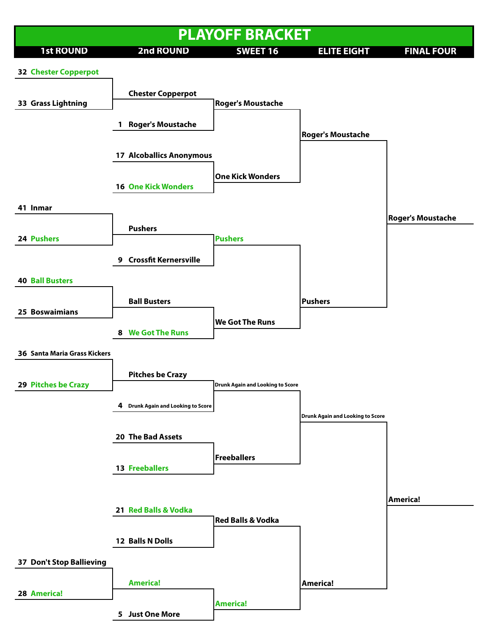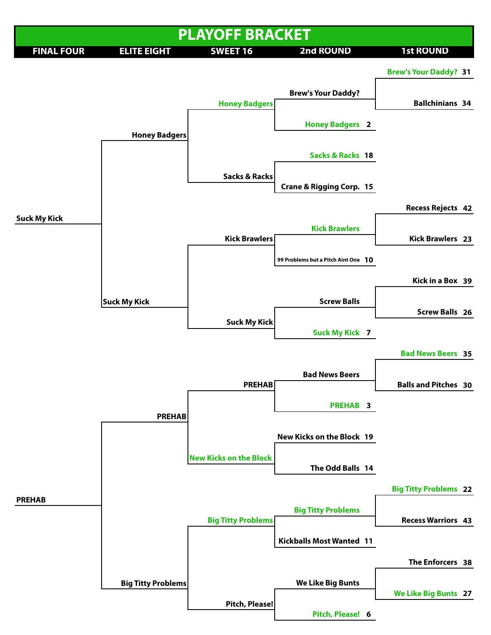